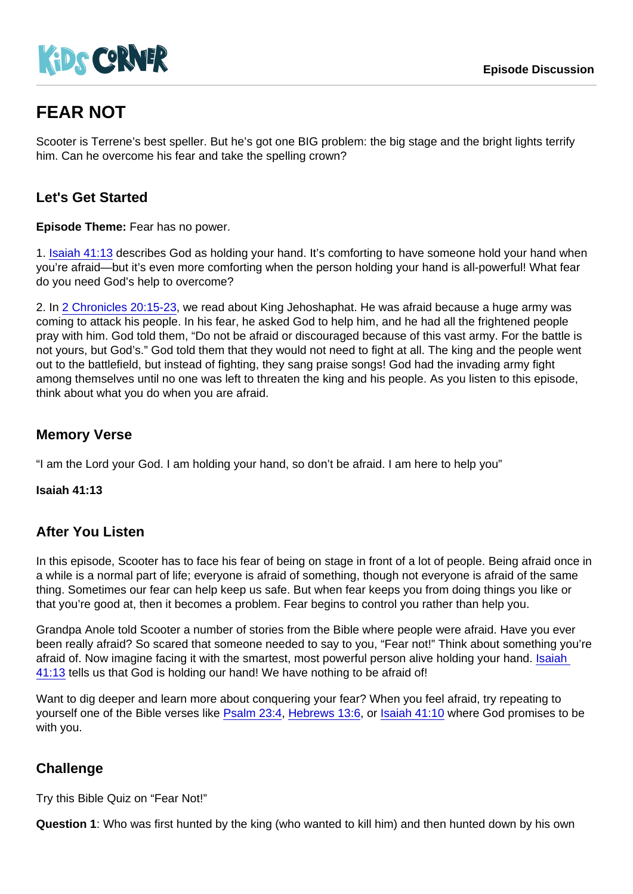# FEAR NOT

Scooter is Terrene's best speller. But he's got one BIG problem: the big stage and the bright lights terrify him. Can he overcome his fear and take the spelling crown?

## Let's Get Started

Episode Theme: Fear has no power.

1. [Isaiah 41:13](https://www.biblegateway.com/passage/?search=Isaiah+41:13) describes God as holding your hand. It's comforting to have someone hold your hand when you're afraid—but it's even more comforting when the person holding your hand is all-powerful! What fear do you need God's help to overcome?

2. In [2 Chronicles 20:15-23](https://www.biblegateway.com/passage/?search=2+Chronicles+20:15-23), we read about King Jehoshaphat. He was afraid because a huge army was coming to attack his people. In his fear, he asked God to help him, and he had all the frightened people pray with him. God told them, "Do not be afraid or discouraged because of this vast army. For the battle is not yours, but God's." God told them that they would not need to fight at all. The king and the people went out to the battlefield, but instead of fighting, they sang praise songs! God had the invading army fight among themselves until no one was left to threaten the king and his people. As you listen to this episode, think about what you do when you are afraid.

## Memory Verse

"I am the Lord your God. I am holding your hand, so don't be afraid. I am here to help you"

Isaiah 41:13

### After You Listen

In this episode, Scooter has to face his fear of being on stage in front of a lot of people. Being afraid once in a while is a normal part of life; everyone is afraid of something, though not everyone is afraid of the same thing. Sometimes our fear can help keep us safe. But when fear keeps you from doing things you like or that you're good at, then it becomes a problem. Fear begins to control you rather than help you.

Grandpa Anole told Scooter a number of stories from the Bible where people were afraid. Have you ever been really afraid? So scared that someone needed to say to you, "Fear not!" Think about something you're afraid of. Now imagine facing it with the smartest, most powerful person alive holding your hand. [Isaiah](https://www.biblegateway.com/passage/?search=Isaiah+41:13)  [41:13](https://www.biblegateway.com/passage/?search=Isaiah+41:13) tells us that God is holding our hand! We have nothing to be afraid of!

Want to dig deeper and learn more about conquering your fear? When you feel afraid, try repeating to yourself one of the Bible verses like [Psalm 23:4](https://www.biblegateway.com/passage/?search=Psalm+23:4), [Hebrews 13:6](https://www.biblegateway.com/passage/?search=Hebrews+13:6), or [Isaiah 41:10](https://www.biblegateway.com/passage/?search=Isaiah+41:10) where God promises to be with you.

### **Challenge**

Try this Bible Quiz on "Fear Not!"

Question 1 : Who was first hunted by the king (who wanted to kill him) and then hunted down by his own